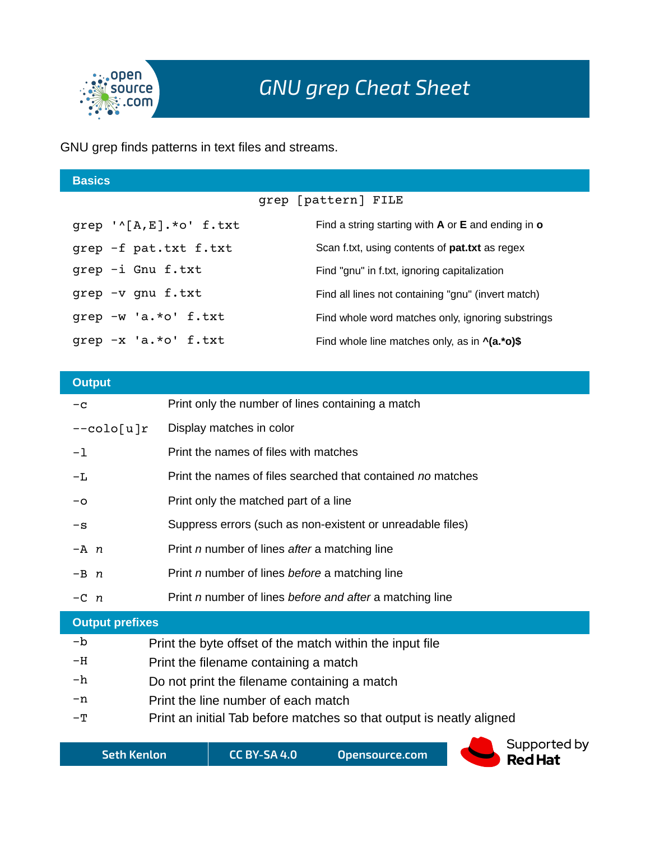

GNU grep finds patterns in text files and streams.

| <b>Basics</b>                                 |                                                          |
|-----------------------------------------------|----------------------------------------------------------|
|                                               | grep [pattern] FILE                                      |
| qrep $\lceil \wedge [A, E] \rceil$ .*o' f.txt | Find a string starting with $A$ or $E$ and ending in $o$ |
| grep -f pat.txt f.txt                         | Scan f.txt, using contents of <b>pat.txt</b> as regex    |
| qrep -i Gnu f.txt                             | Find "gnu" in f.txt, ignoring capitalization             |
| grep -v gnu f.txt                             | Find all lines not containing "gnu" (invert match)       |
| qrep -w 'a.*o' f.txt                          | Find whole word matches only, ignoring substrings        |
| grep -x 'a.*o' f.txt                          | Find whole line matches only, as in $\Lambda$ (a.*o)\$   |
|                                               |                                                          |

| <b>Output</b>          |                                                             |  |  |
|------------------------|-------------------------------------------------------------|--|--|
| $-c$                   | Print only the number of lines containing a match           |  |  |
| --colo[u]r             | Display matches in color                                    |  |  |
| $-1$                   | Print the names of files with matches                       |  |  |
| -L                     | Print the names of files searched that contained no matches |  |  |
| -0                     | Print only the matched part of a line                       |  |  |
| $-\mathbf{s}$          | Suppress errors (such as non-existent or unreadable files)  |  |  |
| $-A$ n                 | Print <i>n</i> number of lines after a matching line        |  |  |
| $-B$ $n$               | Print <i>n</i> number of lines before a matching line       |  |  |
| $-C$ n                 | Print n number of lines before and after a matching line    |  |  |
| <b>Output prefixes</b> |                                                             |  |  |
| -b                     | Print the byte offset of the match within the input file    |  |  |

- -H Print the filename containing a match
- $-h$  Do not print the filename containing a match
- -n Print the line number of each match
- -T Print an initial Tab before matches so that output is neatly aligned

**Seth Kenlon CC BY-SA 4.0 Opensource.com**